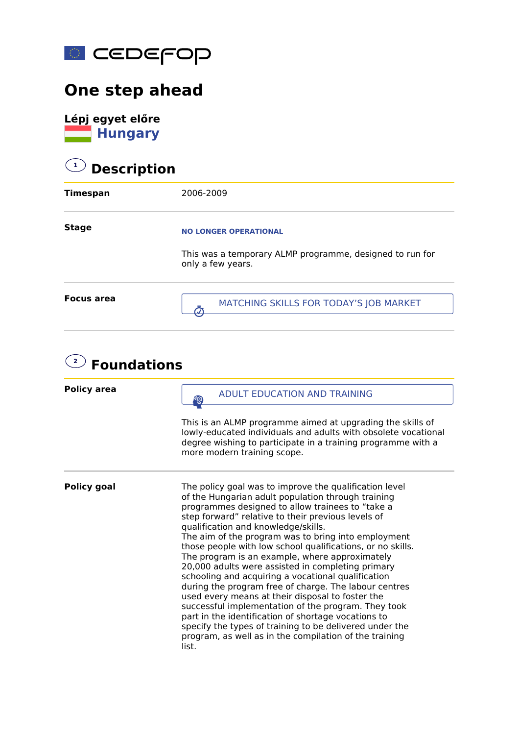

## **One step ahead**

**Lépj egyet előre Hungary** 

## **1 Description**

| <b>Timespan</b>   | 2006-2009                                                                                                     |
|-------------------|---------------------------------------------------------------------------------------------------------------|
| <b>Stage</b>      | <b>NO LONGER OPERATIONAL</b><br>This was a temporary ALMP programme, designed to run for<br>only a few years. |
| <b>Focus area</b> | MATCHING SKILLS FOR TODAY'S JOB MARKET                                                                        |

## **2 Foundations**

| <b>Policy area</b> | <b>ADULT EDUCATION AND TRAINING</b>                                                                                                                                                                                                                                                                                                                                                                                                                                                                                                                                                                                                                                                                                                                                                                                                                                                                      |
|--------------------|----------------------------------------------------------------------------------------------------------------------------------------------------------------------------------------------------------------------------------------------------------------------------------------------------------------------------------------------------------------------------------------------------------------------------------------------------------------------------------------------------------------------------------------------------------------------------------------------------------------------------------------------------------------------------------------------------------------------------------------------------------------------------------------------------------------------------------------------------------------------------------------------------------|
|                    | This is an ALMP programme aimed at upgrading the skills of<br>lowly-educated individuals and adults with obsolete vocational<br>degree wishing to participate in a training programme with a<br>more modern training scope.                                                                                                                                                                                                                                                                                                                                                                                                                                                                                                                                                                                                                                                                              |
| <b>Policy goal</b> | The policy goal was to improve the qualification level<br>of the Hungarian adult population through training<br>programmes designed to allow trainees to "take a<br>step forward" relative to their previous levels of<br>qualification and knowledge/skills.<br>The aim of the program was to bring into employment<br>those people with low school qualifications, or no skills.<br>The program is an example, where approximately<br>20,000 adults were assisted in completing primary<br>schooling and acquiring a vocational qualification<br>during the program free of charge. The labour centres<br>used every means at their disposal to foster the<br>successful implementation of the program. They took<br>part in the identification of shortage vocations to<br>specify the types of training to be delivered under the<br>program, as well as in the compilation of the training<br>list. |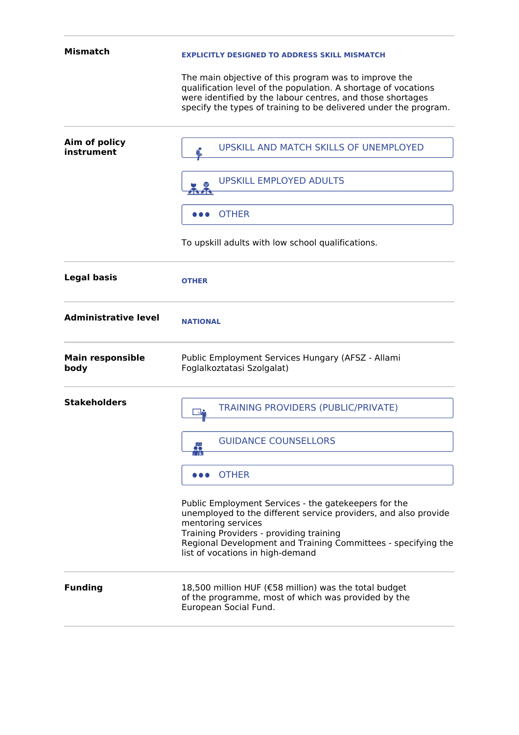| Mismatch                        | <b>EXPLICITLY DESIGNED TO ADDRESS SKILL MISMATCH</b>                                                                                                                                                                                                                                          |
|---------------------------------|-----------------------------------------------------------------------------------------------------------------------------------------------------------------------------------------------------------------------------------------------------------------------------------------------|
|                                 | The main objective of this program was to improve the<br>qualification level of the population. A shortage of vocations<br>were identified by the labour centres, and those shortages<br>specify the types of training to be delivered under the program.                                     |
| Aim of policy<br>instrument     | UPSKILL AND MATCH SKILLS OF UNEMPLOYED                                                                                                                                                                                                                                                        |
|                                 | <b>UPSKILL EMPLOYED ADULTS</b>                                                                                                                                                                                                                                                                |
|                                 | <b>OTHER</b><br>$\bullet\bullet\bullet$                                                                                                                                                                                                                                                       |
|                                 | To upskill adults with low school qualifications.                                                                                                                                                                                                                                             |
| <b>Legal basis</b>              | <b>OTHER</b>                                                                                                                                                                                                                                                                                  |
| <b>Administrative level</b>     | <b>NATIONAL</b>                                                                                                                                                                                                                                                                               |
| <b>Main responsible</b><br>body | Public Employment Services Hungary (AFSZ - Allami<br>Foglalkoztatasi Szolgalat)                                                                                                                                                                                                               |
| <b>Stakeholders</b>             | TRAINING PROVIDERS (PUBLIC/PRIVATE)                                                                                                                                                                                                                                                           |
|                                 | <b>GUIDANCE COUNSELLORS</b><br>$\frac{1}{100}$                                                                                                                                                                                                                                                |
|                                 | <b>OTHER</b><br>.                                                                                                                                                                                                                                                                             |
|                                 | Public Employment Services - the gatekeepers for the<br>unemployed to the different service providers, and also provide<br>mentoring services<br>Training Providers - providing training<br>Regional Development and Training Committees - specifying the<br>list of vocations in high-demand |
| <b>Funding</b>                  | 18,500 million HUF (€58 million) was the total budget<br>of the programme, most of which was provided by the<br>European Social Fund.                                                                                                                                                         |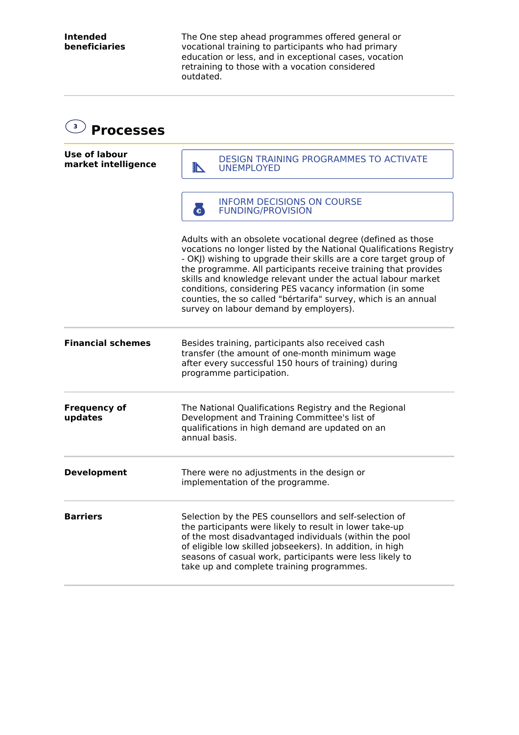The One step ahead programmes offered general or vocational training to participants who had primary education or less, and in exceptional cases, vocation retraining to those with a vocation considered outdated.

| $\overline{\mathbf{3}}$<br><b>Processes</b> |                                                                                                                                                                                                                                                                                                                                                                                                                                                                                                                  |
|---------------------------------------------|------------------------------------------------------------------------------------------------------------------------------------------------------------------------------------------------------------------------------------------------------------------------------------------------------------------------------------------------------------------------------------------------------------------------------------------------------------------------------------------------------------------|
| <b>Use of labour</b><br>market intelligence | <b>DESIGN TRAINING PROGRAMMES TO ACTIVATE</b><br><b>TABLE 18</b><br><b>UNEMPLOYED</b>                                                                                                                                                                                                                                                                                                                                                                                                                            |
|                                             | <b>INFORM DECISIONS ON COURSE</b><br>G<br><b>FUNDING/PROVISION</b>                                                                                                                                                                                                                                                                                                                                                                                                                                               |
|                                             | Adults with an obsolete vocational degree (defined as those<br>vocations no longer listed by the National Qualifications Registry<br>- OKJ) wishing to upgrade their skills are a core target group of<br>the programme. All participants receive training that provides<br>skills and knowledge relevant under the actual labour market<br>conditions, considering PES vacancy information (in some<br>counties, the so called "bértarifa" survey, which is an annual<br>survey on labour demand by employers). |
| <b>Financial schemes</b>                    | Besides training, participants also received cash<br>transfer (the amount of one-month minimum wage<br>after every successful 150 hours of training) during<br>programme participation.                                                                                                                                                                                                                                                                                                                          |
| <b>Frequency of</b><br>updates              | The National Qualifications Registry and the Regional<br>Development and Training Committee's list of<br>qualifications in high demand are updated on an<br>annual basis.                                                                                                                                                                                                                                                                                                                                        |
| <b>Development</b>                          | There were no adjustments in the design or<br>implementation of the programme.                                                                                                                                                                                                                                                                                                                                                                                                                                   |
| <b>Barriers</b>                             | Selection by the PES counsellors and self-selection of<br>the participants were likely to result in lower take-up<br>of the most disadvantaged individuals (within the pool<br>of eligible low skilled jobseekers). In addition, in high<br>seasons of casual work, participants were less likely to<br>take up and complete training programmes.                                                                                                                                                                |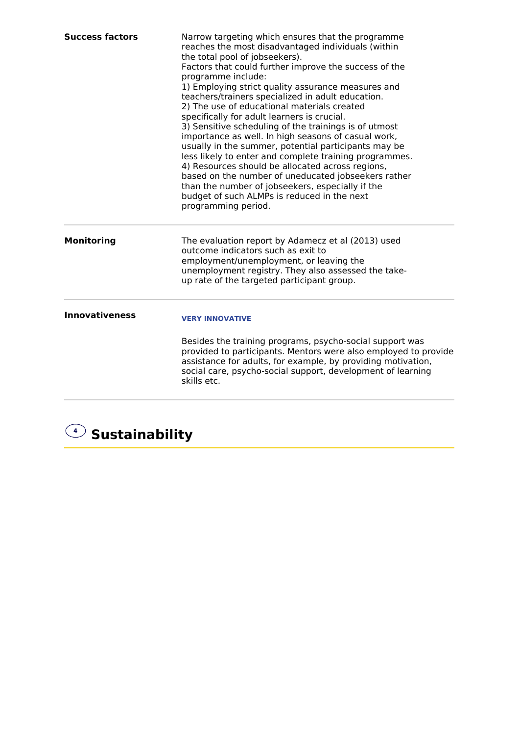| <b>Success factors</b> | Narrow targeting which ensures that the programme<br>reaches the most disadvantaged individuals (within<br>the total pool of jobseekers).<br>Factors that could further improve the success of the<br>programme include:<br>1) Employing strict quality assurance measures and<br>teachers/trainers specialized in adult education.<br>2) The use of educational materials created<br>specifically for adult learners is crucial.<br>3) Sensitive scheduling of the trainings is of utmost<br>importance as well. In high seasons of casual work,<br>usually in the summer, potential participants may be<br>less likely to enter and complete training programmes.<br>4) Resources should be allocated across regions,<br>based on the number of uneducated jobseekers rather<br>than the number of jobseekers, especially if the<br>budget of such ALMPs is reduced in the next<br>programming period. |
|------------------------|----------------------------------------------------------------------------------------------------------------------------------------------------------------------------------------------------------------------------------------------------------------------------------------------------------------------------------------------------------------------------------------------------------------------------------------------------------------------------------------------------------------------------------------------------------------------------------------------------------------------------------------------------------------------------------------------------------------------------------------------------------------------------------------------------------------------------------------------------------------------------------------------------------|
| <b>Monitoring</b>      | The evaluation report by Adamecz et al (2013) used<br>outcome indicators such as exit to<br>employment/unemployment, or leaving the<br>unemployment registry. They also assessed the take-<br>up rate of the targeted participant group.                                                                                                                                                                                                                                                                                                                                                                                                                                                                                                                                                                                                                                                                 |
| <b>Innovativeness</b>  | <b>VERY INNOVATIVE</b><br>Besides the training programs, psycho-social support was<br>provided to participants. Mentors were also employed to provide<br>assistance for adults, for example, by providing motivation,<br>social care, psycho-social support, development of learning<br>skills etc.                                                                                                                                                                                                                                                                                                                                                                                                                                                                                                                                                                                                      |

## **<sup>4</sup> Sustainability**